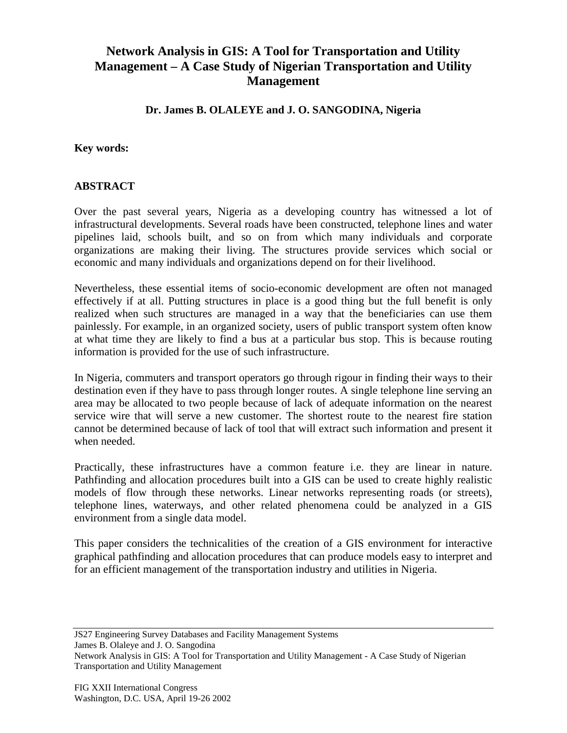## **Network Analysis in GIS: A Tool for Transportation and Utility Management – A Case Study of Nigerian Transportation and Utility Management**

**Dr. James B. OLALEYE and J. O. SANGODINA, Nigeria**

## **Key words:**

## **ABSTRACT**

Over the past several years, Nigeria as a developing country has witnessed a lot of infrastructural developments. Several roads have been constructed, telephone lines and water pipelines laid, schools built, and so on from which many individuals and corporate organizations are making their living. The structures provide services which social or economic and many individuals and organizations depend on for their livelihood.

Nevertheless, these essential items of socio-economic development are often not managed effectively if at all. Putting structures in place is a good thing but the full benefit is only realized when such structures are managed in a way that the beneficiaries can use them painlessly. For example, in an organized society, users of public transport system often know at what time they are likely to find a bus at a particular bus stop. This is because routing information is provided for the use of such infrastructure.

In Nigeria, commuters and transport operators go through rigour in finding their ways to their destination even if they have to pass through longer routes. A single telephone line serving an area may be allocated to two people because of lack of adequate information on the nearest service wire that will serve a new customer. The shortest route to the nearest fire station cannot be determined because of lack of tool that will extract such information and present it when needed.

Practically, these infrastructures have a common feature i.e. they are linear in nature. Pathfinding and allocation procedures built into a GIS can be used to create highly realistic models of flow through these networks. Linear networks representing roads (or streets), telephone lines, waterways, and other related phenomena could be analyzed in a GIS environment from a single data model.

This paper considers the technicalities of the creation of a GIS environment for interactive graphical pathfinding and allocation procedures that can produce models easy to interpret and for an efficient management of the transportation industry and utilities in Nigeria.

JS27 Engineering Survey Databases and Facility Management Systems James B. Olaleye and J. O. Sangodina

Network Analysis in GIS: A Tool for Transportation and Utility Management - A Case Study of Nigerian Transportation and Utility Management